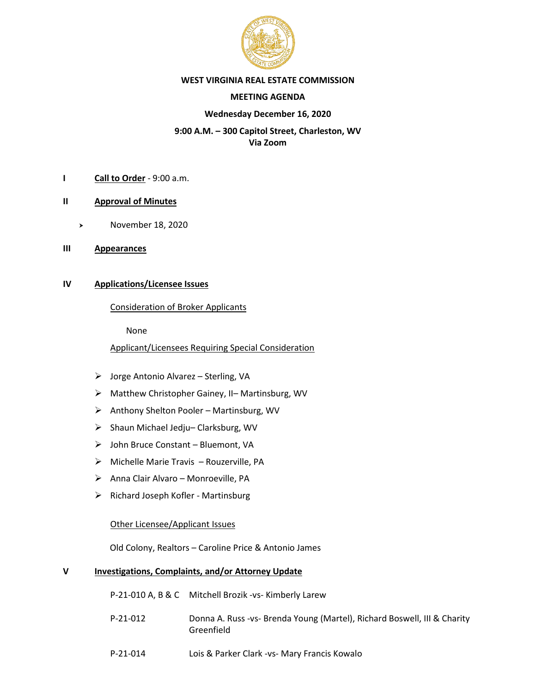

#### **WEST VIRGINIA REAL ESTATE COMMISSION**

#### **MEETING AGENDA**

#### **Wednesday December 16, 2020**

## **9:00 A.M. – 300 Capitol Street, Charleston, WV Via Zoom**

- **I Call to Order** 9:00 a.m.
- **II Approval of Minutes**
	- > November 18, 2020
- **III Appearances**

## **IV Applications/Licensee Issues**

#### Consideration of Broker Applicants

None

Applicant/Licensees Requiring Special Consideration

- ➢ Jorge Antonio Alvarez Sterling, VA
- ➢ Matthew Christopher Gainey, II– Martinsburg, WV
- ➢ Anthony Shelton Pooler Martinsburg, WV
- ➢ Shaun Michael Jedju– Clarksburg, WV
- ➢ John Bruce Constant Bluemont, VA
- ➢ Michelle Marie Travis Rouzerville, PA
- ➢ Anna Clair Alvaro Monroeville, PA
- ➢ Richard Joseph Kofler Martinsburg

## Other Licensee/Applicant Issues

Old Colony, Realtors – Caroline Price & Antonio James

## **V Investigations, Complaints, and/or Attorney Update**

|            | P-21-010 A, B & C Mitchell Brozik -vs- Kimberly Larew                                  |
|------------|----------------------------------------------------------------------------------------|
| $P-21-012$ | Donna A. Russ -vs- Brenda Young (Martel), Richard Boswell, III & Charity<br>Greenfield |
| $P-21-014$ | Lois & Parker Clark -vs- Mary Francis Kowalo                                           |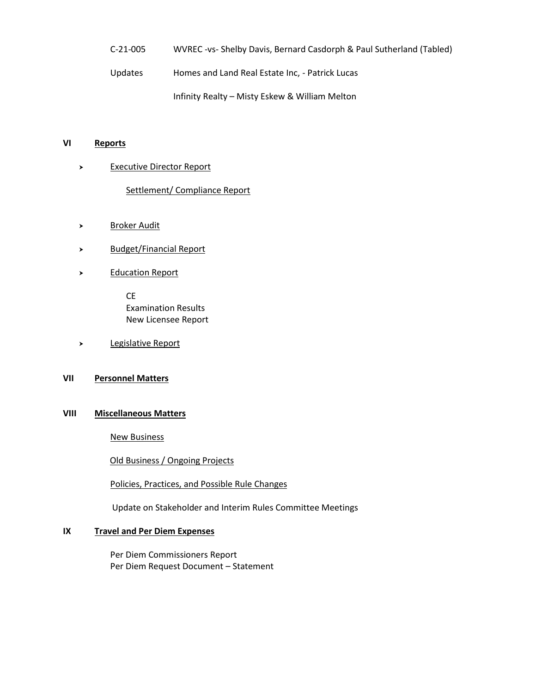C-21-005 WVREC -vs- Shelby Davis, Bernard Casdorph & Paul Sutherland (Tabled)

Updates Homes and Land Real Estate Inc, - Patrick Lucas

Infinity Realty – Misty Eskew & William Melton

#### **VI Reports**

> Executive Director Report

Settlement/ Compliance Report

- Broker Audit
- > Budget/Financial Report
- > Education Report

CE Examination Results New Licensee Report

Legislative Report

## **VII Personnel Matters**

### **VIII Miscellaneous Matters**

New Business

Old Business / Ongoing Projects

Policies, Practices, and Possible Rule Changes

Update on Stakeholder and Interim Rules Committee Meetings

#### **IX Travel and Per Diem Expenses**

Per Diem Commissioners Report Per Diem Request Document – Statement